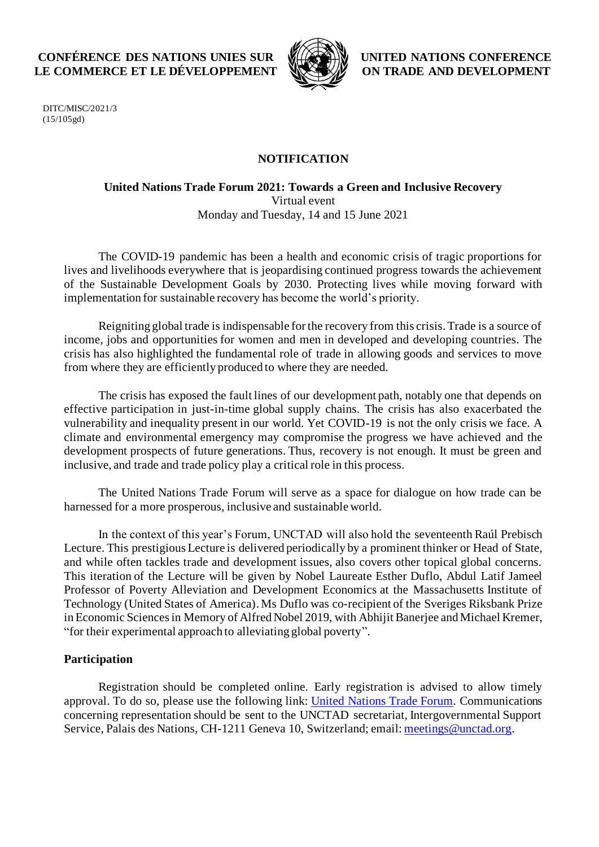# **CONFÉRENCE DES NATIONS UNIES SUR LE COMMERCE ET LE DÉVELOPPEMENT**



**UNITED NATIONS CONFERENCE ON TRADE AND DEVELOPMENT**

DITC/MISC/2021/3 (15/105gd)

### **NOTIFICATION**

#### **United Nations Trade Forum 2021: Towards a Green and Inclusive Recovery** Virtual event Monday and Tuesday, 14 and 15 June 2021

The COVID-19 pandemic has been a health and economic crisis of tragic proportions for lives and livelihoods everywhere that is jeopardising continued progress towards the achievement of the Sustainable Development Goals by 2030. Protecting lives while moving forward with implementation for sustainable recovery has become the world's priority.

Reigniting global trade is indispensable for the recovery from this crisis. Trade is a source of income, jobs and opportunities for women and men in developed and developing countries. The crisis has also highlighted the fundamental role of trade in allowing goods and services to move from where they are efficiently produced to where they are needed.

The crisis has exposed the fault lines of our development path, notably one that depends on effective participation in just-in-time global supply chains. The crisis has also exacerbated the vulnerability and inequality present in our world. Yet COVID-19 is not the only crisis we face. A climate and environmental emergency may compromise the progress we have achieved and the development prospects of future generations. Thus, recovery is not enough. It must be green and inclusive, and trade and trade policy play a critical role in this process.

The United Nations Trade Forum will serve as a space for dialogue on how trade can be harnessed for a more prosperous, inclusive and sustainable world.

In the context of this year's Forum, UNCTAD will also hold the seventeenth Raúl Prebisch Lecture. This prestigious Lecture is delivered periodically by a prominent thinker or Head of State, and while often tackles trade and development issues, also covers other topical global concerns. This iteration of the Lecture will be given by Nobel Laureate Esther Duflo, Abdul Latif Jameel Professor of Poverty Alleviation and Development Economics at the Massachusetts Institute of Technology (United States of America). Ms Duflo was co-recipient of the Sveriges Riksbank Prize in Economic Sciences in Memory of Alfred Nobel 2019, with Abhijit Banerjee and Michael Kremer, "for their experimental approach to alleviating global poverty".

## **Participation**

Registration should be completed online. Early registration is advised to allow timely approval. To do so, please use the following link: [United Nations](https://unctad.org/meeting/un-trade-forum-2021-towards-green-and-inclusive-recovery) Trade Forum. Communications concerning representation should be sent to the UNCTAD secretariat, Intergovernmental Support Service, Palais des Nations, CH-1211 Geneva 10, Switzerland; email[: meetings@unctad.org.](mailto:meetings@unctad.org)